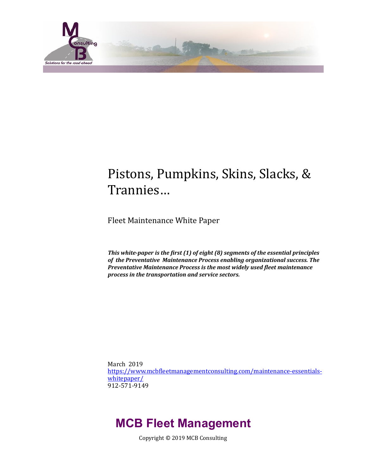

# Pistons, Pumpkins, Skins, Slacks, & Trannies…

Fleet Maintenance White Paper

This white-paper is the first (1) of eight (8) segments of the essential principles of the Preventative Maintenance Process enabling organizational success. The **Preventative Maintenance Process is the most widely used fleet maintenance** *process in the transportation and service sectors.* 

March 2019 https://www.mcbfleetmanagementconsulting.com/maintenance-essentials[whitepaper/](https://www.mcbfleetmanagementconsulting.com/maintenance-essentials-whitepaper/) 912-571-9149 

# **MCB Fleet Management**

Copyright © 2019 MCB Consulting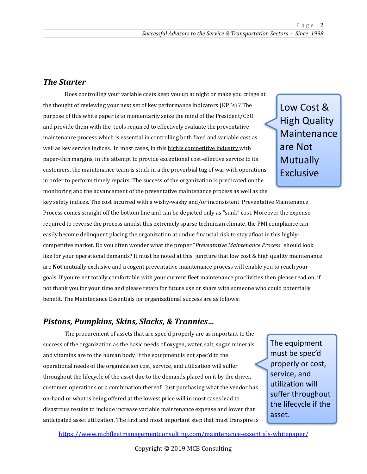## *The Starter*

Does controlling your variable costs keep you up at night or make you cringe at the thought of reviewing your next set of key performance indicators (KPI's) ? The purpose of this white paper is to momentarily seize the mind of the President/CEO and provide them with the tools required to effectively evaluate the preventative maintenance process which is essential in controlling both fixed and variable cost as well as key service indices. In most cases, in this highly competitive industry with paper-thin margins, in the attempt to provide exceptional cost-effective service to its customers, the maintenance team is stuck in a the proverbial tug of war with operations in order to perform timely repairs. The success of the organization is predicated on the monitoring and the advancement of the preventative maintenance process as well as the

key safety indices. The cost incurred with a wishy-washy and/or inconsistent Preventative Maintenance Process comes straight off the bottom line and can be depicted only as "sunk" cost. Moreover the expense required to reverse the process amidst this extremely sparse technician climate, the PMI compliance can easily become delinquent placing the organization at undue financial risk to stay afloat in this highlycompetitive market. Do you often wonder what the proper "Preventative Maintenance Process" should look like for your operational demands? It must be noted at this juncture that low cost & high quality maintenance are **Not** mutually exclusive and a cogent preventative maintenance process will enable you to reach your goals. If you're not totally comfortable with your current fleet maintenance proclivities then please read on, if not thank you for your time and please retain for future use or share with someone who could potentially benefit. The Maintenance Essentials for organizational success are as follows:

### *Pistons, Pumpkins, Skins, Slacks, & Trannies...*

The procurement of assets that are spec'd properly are as important to the success of the organization as the basic needs of oxygen, water, salt, sugar, minerals, and vitamins are to the human body. If the equipment is not spec'd to the operational needs of the organization cost, service, and utilization will suffer throughout the lifecycle of the asset due to the demands placed on it by the driver, customer, operations or a combination thereof. Just purchasing what the vendor has on-hand or what is being offered at the lowest price will in most cases lead to disastrous results to include increase variable maintenance expense and lower that anticipated asset utilization. The first and most important step that must transpire is

The equipment must be spec'd properly or cost, service, and utilization will suffer throughout the lifecycle if the asset. 

https://www.mcbfleetmanagementconsulting.com/maintenance-essentials-whitepaper/

Low Cost & **High Quality** Maintenance are Not **Mutually** Exclusive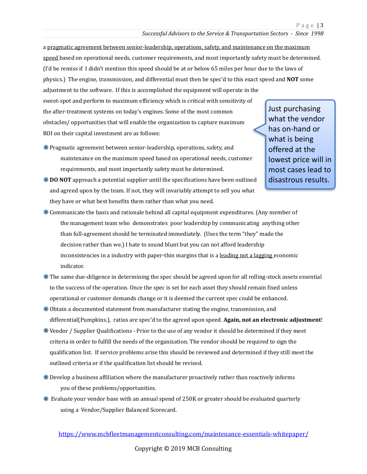a pragmatic agreement between senior-leadership, operations, safety, and maintenance on the maximum speed based on operational needs, customer requirements, and most importantly safety must be determined. (I'd be remiss if I didn't mention this speed should be at or below 65 miles per hour due to the laws of physics.) The engine, transmission, and differential must then be spec'd to this exact speed and **NOT** some adjustment to the software. If this is accomplished the equipment will operate in the sweet-spot and perform to maximum efficiency which is critical with sensitivity of the after-treatment systems on today's engines. Some of the most common obstacles/opportunities that will enable the organization to capture maximum

ROI on their capital investment are as follows:

- \* Pragmatic agreement between senior-leadership, operations, safety, and maintenance on the maximum speed based on operational needs, customer requirements, and most importantly safety must be determined.
- Just purchasing what the vendor has on-hand or what is being offered at the lowest price will in most cases lead to disastrous results.
- **EXECTE:** DO NOT approach a potential supplier until the specifications have been outlined and agreed upon by the team. If not, they will invariably attempt to sell you what they have or what best benefits them rather than what you need.
- $*$  Communicate the basis and rationale behind all capital equipment expenditures. (Any member of the management team who demonstrates poor leadership by communicating anything other than full-agreement should be terminated immediately. (Uses the term "they" made the decision rather than we.) I hate to sound blunt but you can not afford leadership inconsistencies in a industry with paper-thin margins that is a leading not a lagging economic indicator.
- \"\" The same due-diligence in determining the spec should be agreed upon for all rolling-stock assets essential to the success of the operation. Once the spec is set for each asset they should remain fixed unless operational or customer demands change or it is deemed the current spec could be enhanced.
- \, Obtain a documented statement from manufacturer stating the engine, transmission, and differential(Pumpkins.), ratios are spec'd to the agreed upon speed. **Again, not an electronic adjustment**!
- $\mathscr W$  Vendor / Supplier Qualifications Prior to the use of any vendor it should be determined if they meet criteria in order to fulfill the needs of the organization. The vendor should be required to sign the qualification list. If service problems arise this should be reviewed and determined if they still meet the outlined criteria or if the qualification list should be revised.
- $*$  Develop a business affiliation where the manufacturer proactively rather than reactively informs you of these problems/opportunities.
- $*$  Evaluate your vendor base with an annual spend of 250K or greater should be evaluated quarterly using a Vendor/Supplier Balanced Scorecard.

https://www.mcbfleetmanagementconsulting.com/maintenance-essentials-whitepaper/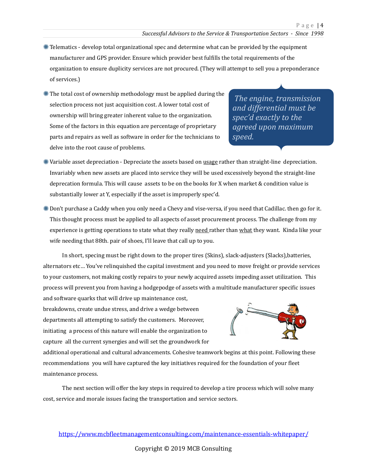- $*$  Telematics develop total organizational spec and determine what can be provided by the equipment manufacturer and GPS provider. Ensure which provider best fulfills the total requirements of the organization to ensure duplicity services are not procured. (They will attempt to sell you a preponderance of services.)
- $*$  The total cost of ownership methodology must be applied during the selection process not just acquisition cost. A lower total cost of ownership will bring greater inherent value to the organization. Some of the factors in this equation are percentage of proprietary parts and repairs as well as software in order for the technicians to delve into the root cause of problems.

*The engine, transmission and differential must be*  spec'd exactly to the *agreed upon maximum speed.* 

- $*$  Variable asset depreciation Depreciate the assets based on usage rather than straight-line depreciation. Invariably when new assets are placed into service they will be used excessively beyond the straight-line deprecation formula. This will cause assets to be on the books for X when market  $&$  condition value is substantially lower at Y, especially if the asset is improperly spec'd.
- $*$  Don't purchase a Caddy when you only need a Chevy and vise-versa, if you need that Cadillac. then go for it. This thought process must be applied to all aspects of asset procurement process. The challenge from my experience is getting operations to state what they really need rather than what they want. Kinda like your wife needing that 88th. pair of shoes, I'll leave that call up to you.

In short, specing must be right down to the proper tires (Skins), slack-adjusters (Slacks),batteries, alternators etc... You've relinquished the capital investment and you need to move freight or provide services to your customers, not making costly repairs to your newly acquired assets impeding asset utilization. This process will prevent you from having a hodgepodge of assets with a multitude manufacturer specific issues and software quarks that will drive up maintenance cost,

breakdowns, create undue stress, and drive a wedge between departments all attempting to satisfy the customers. Moreover, initiating a process of this nature will enable the organization to capture all the current synergies and will set the groundwork for



additional operational and cultural advancements. Cohesive teamwork begins at this point. Following these recommendations you will have captured the key initiatives required for the foundation of your fleet maintenance process.

The next section will offer the key steps in required to develop a tire process which will solve many cost, service and morale issues facing the transportation and service sectors.

https://www.mcbfleetmanagementconsulting.com/maintenance-essentials-whitepaper/